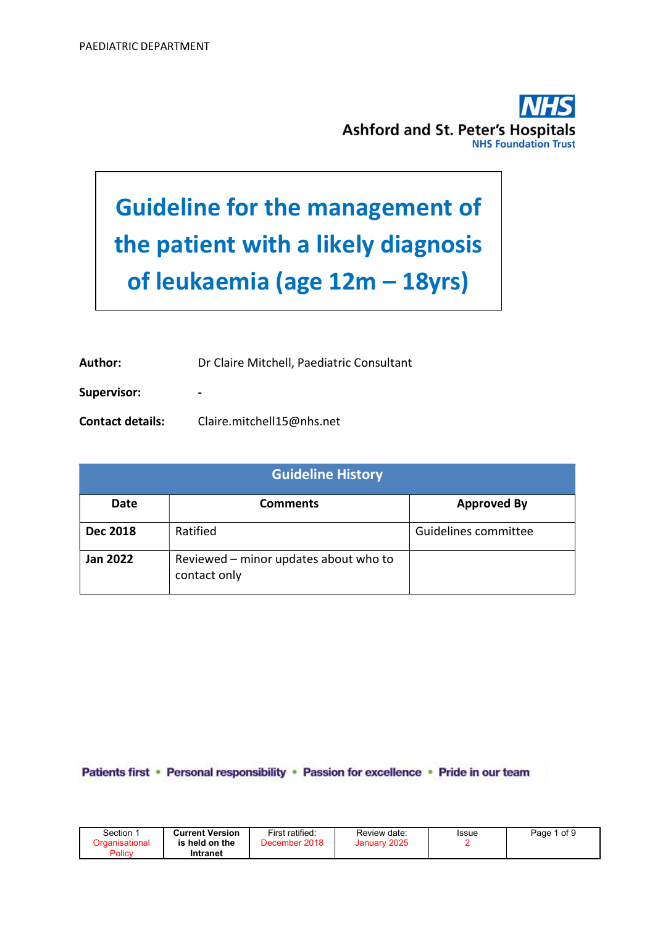

# Guideline for the management of the patient with a likely diagnosis of leukaemia (age 12m – 18yrs)

Author: Dr Claire Mitchell, Paediatric Consultant

Supervisor: The state of the state of the state of the state of the state of the state of the state of the state of the state of the state of the state of the state of the state of the state of the state of the state of th

Contact details: Claire.mitchell15@nhs.net

| <b>Guideline History</b> |                                                       |                      |  |  |  |
|--------------------------|-------------------------------------------------------|----------------------|--|--|--|
| Date                     | <b>Comments</b>                                       | <b>Approved By</b>   |  |  |  |
| <b>Dec 2018</b>          | Ratified                                              | Guidelines committee |  |  |  |
| <b>Jan 2022</b>          | Reviewed - minor updates about who to<br>contact only |                      |  |  |  |

Patients first · Personal responsibility · Passion for excellence · Pride in our team

| Section ∵                       | <b>Current Version</b>     | First ratified: | Review date:    | Issue | 1 of 9<br>Page |
|---------------------------------|----------------------------|-----------------|-----------------|-------|----------------|
| <b>Draanisational</b><br>Policy | is held on the<br>Intranet | December 2018   | 2025<br>January |       |                |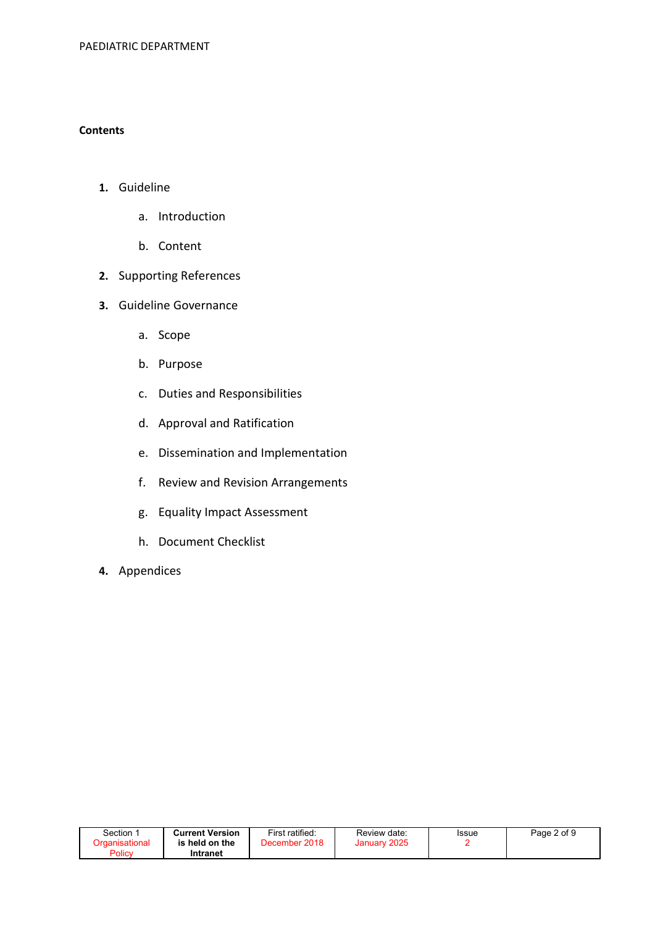#### **Contents**

- 1. Guideline
	- a. Introduction
	- b. Content
- 2. Supporting References
- 3. Guideline Governance
	- a. Scope
	- b. Purpose
	- c. Duties and Responsibilities
	- d. Approval and Ratification
	- e. Dissemination and Implementation
	- f. Review and Revision Arrangements
	- g. Equality Impact Assessment
	- h. Document Checklist
- 4. Appendices

| Section 1              | <b>Current Version</b> | First ratified: | Review date: | <b>Issue</b> | Page 2 of 9 |
|------------------------|------------------------|-----------------|--------------|--------------|-------------|
| <u> Organisational</u> | is held on the         | December 2018   | January 2025 |              |             |
| Policy                 | Intranet               |                 |              |              |             |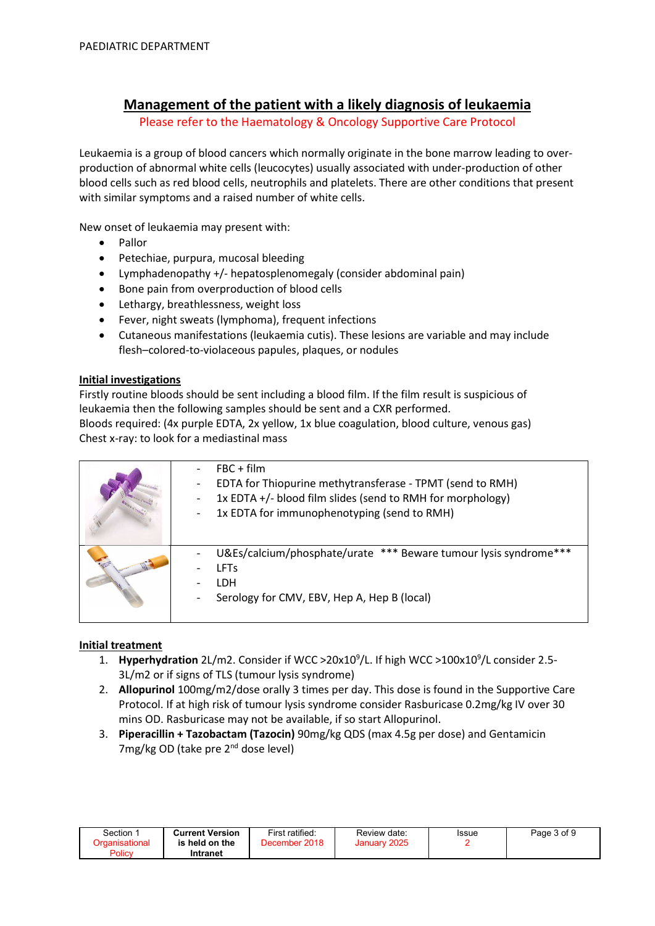# Management of the patient with a likely diagnosis of leukaemia

Please refer to the Haematology & Oncology Supportive Care Protocol

Leukaemia is a group of blood cancers which normally originate in the bone marrow leading to overproduction of abnormal white cells (leucocytes) usually associated with under-production of other blood cells such as red blood cells, neutrophils and platelets. There are other conditions that present with similar symptoms and a raised number of white cells.

New onset of leukaemia may present with:

- Pallor
- Petechiae, purpura, mucosal bleeding
- Lymphadenopathy +/- hepatosplenomegaly (consider abdominal pain)
- Bone pain from overproduction of blood cells
- Lethargy, breathlessness, weight loss
- Fever, night sweats (lymphoma), frequent infections
- Cutaneous manifestations (leukaemia cutis). These lesions are variable and may include flesh–colored-to-violaceous papules, plaques, or nodules

#### Initial investigations

Firstly routine bloods should be sent including a blood film. If the film result is suspicious of leukaemia then the following samples should be sent and a CXR performed. Bloods required: (4x purple EDTA, 2x yellow, 1x blue coagulation, blood culture, venous gas)

Chest x-ray: to look for a mediastinal mass

| $FBC + film$<br>EDTA for Thiopurine methytransferase - TPMT (send to RMH)<br>$\overline{\phantom{a}}$<br>1x EDTA +/- blood film slides (send to RMH for morphology)<br>1x EDTA for immunophenotyping (send to RMH)<br>$\qquad \qquad -$ |
|-----------------------------------------------------------------------------------------------------------------------------------------------------------------------------------------------------------------------------------------|
| U&Es/calcium/phosphate/urate *** Beware tumour lysis syndrome***<br><b>LFTs</b><br>LDH<br>Serology for CMV, EBV, Hep A, Hep B (local)<br>$\overline{\phantom{a}}$                                                                       |

#### Initial treatment

- 1. Hyperhydration 2L/m2. Consider if WCC >  $20x10<sup>9</sup>/L$ . If high WCC >  $100x10<sup>9</sup>/L$  consider 2.5-3L/m2 or if signs of TLS (tumour lysis syndrome)
- 2. Allopurinol 100mg/m2/dose orally 3 times per day. This dose is found in the Supportive Care Protocol. If at high risk of tumour lysis syndrome consider Rasburicase 0.2mg/kg IV over 30 mins OD. Rasburicase may not be available, if so start Allopurinol.
- 3. Piperacillin + Tazobactam (Tazocin) 90mg/kg QDS (max 4.5g per dose) and Gentamicin 7mg/kg OD (take pre 2<sup>nd</sup> dose level)

| Section :                       | <b>Current Version</b>     | First ratified: | Review date: | <b>Issue</b> | Page 3 of 9 |
|---------------------------------|----------------------------|-----------------|--------------|--------------|-------------|
| <u>Draanisational</u><br>Policy | is held on the<br>Intranet | December 2018   | January 2025 |              |             |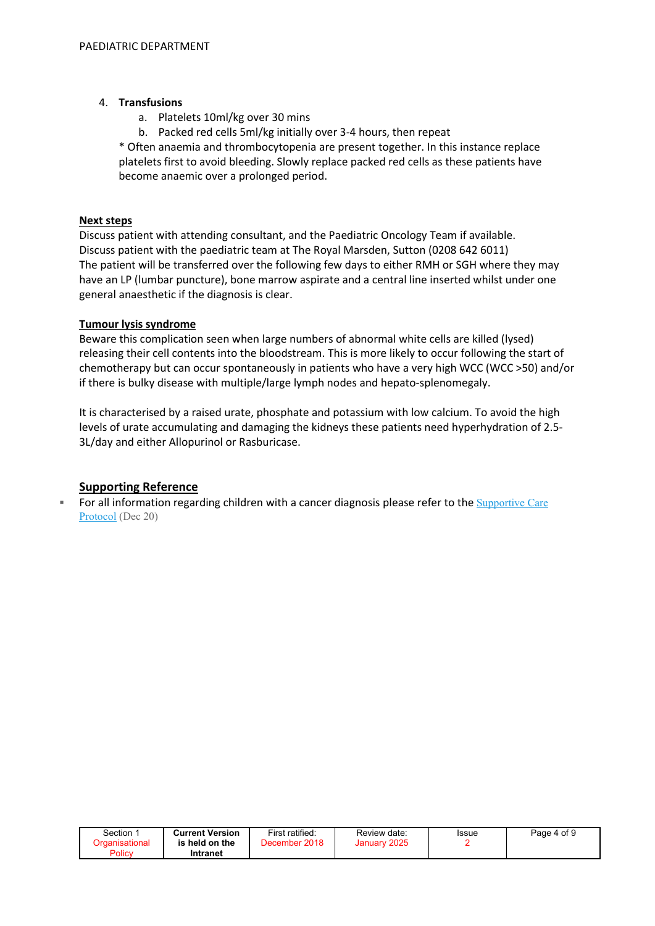#### 4. Transfusions

- a. Platelets 10ml/kg over 30 mins
- b. Packed red cells 5ml/kg initially over 3-4 hours, then repeat

\* Often anaemia and thrombocytopenia are present together. In this instance replace platelets first to avoid bleeding. Slowly replace packed red cells as these patients have become anaemic over a prolonged period.

#### Next steps

Discuss patient with attending consultant, and the Paediatric Oncology Team if available. Discuss patient with the paediatric team at The Royal Marsden, Sutton (0208 642 6011) The patient will be transferred over the following few days to either RMH or SGH where they may have an LP (lumbar puncture), bone marrow aspirate and a central line inserted whilst under one general anaesthetic if the diagnosis is clear.

#### Tumour lysis syndrome

Beware this complication seen when large numbers of abnormal white cells are killed (lysed) releasing their cell contents into the bloodstream. This is more likely to occur following the start of chemotherapy but can occur spontaneously in patients who have a very high WCC (WCC >50) and/or if there is bulky disease with multiple/large lymph nodes and hepato-splenomegaly.

It is characterised by a raised urate, phosphate and potassium with low calcium. To avoid the high levels of urate accumulating and damaging the kidneys these patients need hyperhydration of 2.5- 3L/day and either Allopurinol or Rasburicase.

#### Supporting Reference

For all information regarding children with a cancer diagnosis please refer to the Supportive Care Protocol (Dec 20)

| Section        | <b>Current Version</b> | First ratified: | Review date: | Issue | Page 4 of 9 |
|----------------|------------------------|-----------------|--------------|-------|-------------|
| Organisational | is held on the         | December 2018   | January 2025 |       |             |
| Policy         | Intranet               |                 |              |       |             |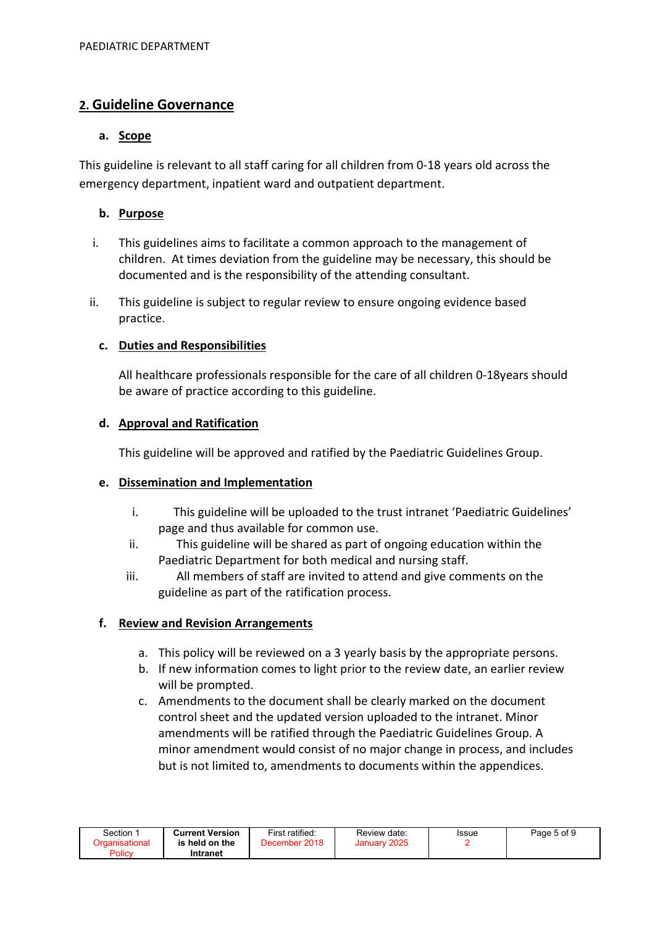# 2. Guideline Governance

## a. Scope

This guideline is relevant to all staff caring for all children from 0-18 years old across the emergency department, inpatient ward and outpatient department.

# b. Purpose

- i. This guidelines aims to facilitate a common approach to the management of children. At times deviation from the guideline may be necessary, this should be documented and is the responsibility of the attending consultant.
- ii. This guideline is subject to regular review to ensure ongoing evidence based practice.

# c. Duties and Responsibilities

All healthcare professionals responsible for the care of all children 0-18years should be aware of practice according to this guideline.

## d. Approval and Ratification

This guideline will be approved and ratified by the Paediatric Guidelines Group.

#### e. Dissemination and Implementation

- i. This guideline will be uploaded to the trust intranet 'Paediatric Guidelines' page and thus available for common use.
- ii. This guideline will be shared as part of ongoing education within the Paediatric Department for both medical and nursing staff.
- iii. All members of staff are invited to attend and give comments on the guideline as part of the ratification process.

# f. Review and Revision Arrangements

- a. This policy will be reviewed on a 3 yearly basis by the appropriate persons.
- b. If new information comes to light prior to the review date, an earlier review will be prompted.
- c. Amendments to the document shall be clearly marked on the document control sheet and the updated version uploaded to the intranet. Minor amendments will be ratified through the Paediatric Guidelines Group. A minor amendment would consist of no major change in process, and includes but is not limited to, amendments to documents within the appendices.

| Section        | <b>Current Version</b> | First ratified: | Review date: | Issue | Page 5 of 9 |
|----------------|------------------------|-----------------|--------------|-------|-------------|
| Organisational | is held on the         | December 2018   | January 2025 |       |             |
| Policy         | Intranet               |                 |              |       |             |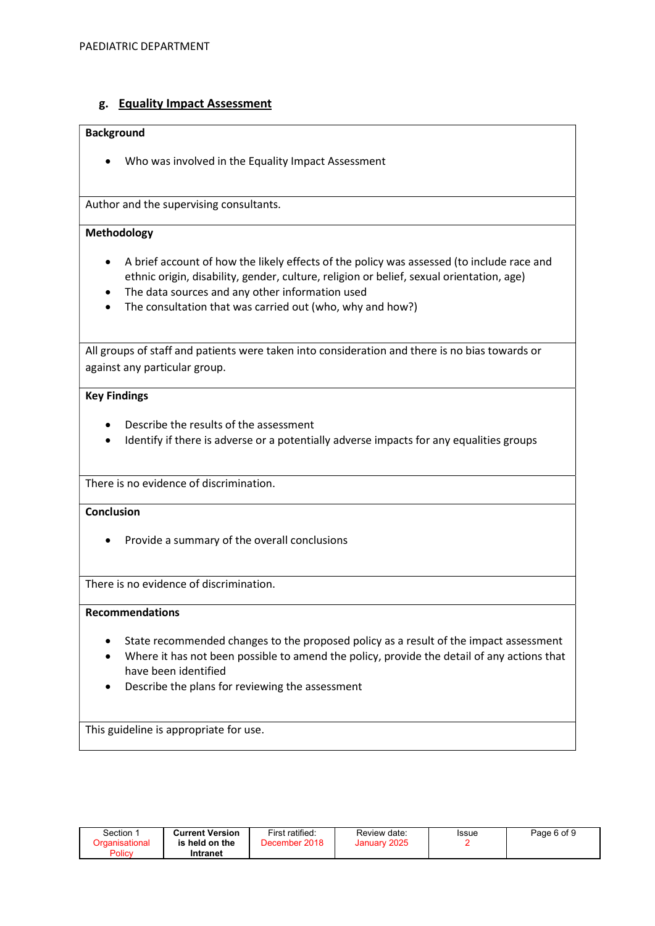### g. Equality Impact Assessment

#### Background

Who was involved in the Equality Impact Assessment

Author and the supervising consultants.

#### Methodology

- A brief account of how the likely effects of the policy was assessed (to include race and ethnic origin, disability, gender, culture, religion or belief, sexual orientation, age)
- The data sources and any other information used
- The consultation that was carried out (who, why and how?)

All groups of staff and patients were taken into consideration and there is no bias towards or against any particular group.

#### Key Findings

- Describe the results of the assessment
- Identify if there is adverse or a potentially adverse impacts for any equalities groups

There is no evidence of discrimination.

#### **Conclusion**

• Provide a summary of the overall conclusions

There is no evidence of discrimination.

#### Recommendations

- State recommended changes to the proposed policy as a result of the impact assessment
- Where it has not been possible to amend the policy, provide the detail of any actions that have been identified
- Describe the plans for reviewing the assessment

This guideline is appropriate for use.

| Section | <b>Current Version</b>     | First ratified: | Review date: | Issue | Page 6 of 9 |
|---------|----------------------------|-----------------|--------------|-------|-------------|
| Policy  | is held on the<br>Intranet | December 2018   | January 2025 |       |             |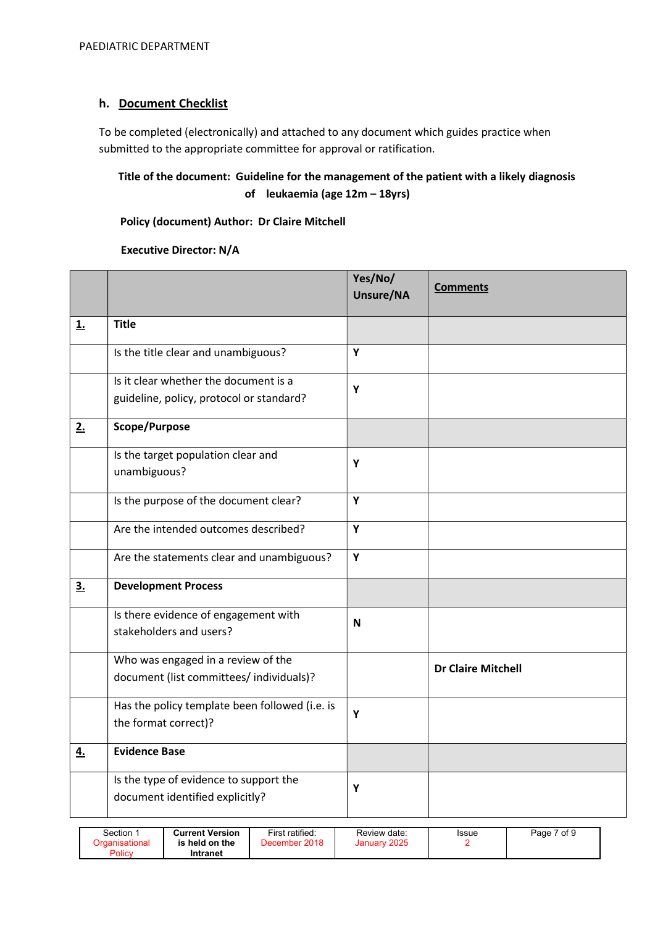# h. Document Checklist

To be completed (electronically) and attached to any document which guides practice when submitted to the appropriate committee for approval or ratification.

# Title of the document: Guideline for the management of the patient with a likely diagnosis of leukaemia (age 12m – 18yrs)

#### Policy (document) Author: Dr Claire Mitchell

#### Executive Director: N/A

|           |                                                                                   | Yes/No/<br>Unsure/NA | <b>Comments</b>           |
|-----------|-----------------------------------------------------------------------------------|----------------------|---------------------------|
| <u>1.</u> | <b>Title</b>                                                                      |                      |                           |
|           | Is the title clear and unambiguous?                                               | Y                    |                           |
|           | Is it clear whether the document is a<br>guideline, policy, protocol or standard? | Y                    |                           |
| 2.        | Scope/Purpose                                                                     |                      |                           |
|           | Is the target population clear and<br>unambiguous?                                | Y                    |                           |
|           | Is the purpose of the document clear?                                             | Y                    |                           |
|           | Are the intended outcomes described?                                              | Y                    |                           |
|           | Are the statements clear and unambiguous?                                         | Y                    |                           |
| 3.        | <b>Development Process</b>                                                        |                      |                           |
|           | Is there evidence of engagement with<br>stakeholders and users?                   | N                    |                           |
|           | Who was engaged in a review of the<br>document (list committees/ individuals)?    |                      | <b>Dr Claire Mitchell</b> |
|           | Has the policy template been followed (i.e. is<br>the format correct)?            | Y                    |                           |
| 4.        | <b>Evidence Base</b>                                                              |                      |                           |
|           | Is the type of evidence to support the<br>document identified explicitly?         | Y                    |                           |

| Section 1<br>Drganisational<br>Policy | <b>Current Version</b><br>is held on the<br>Intranet | First ratified:<br>December 2018 | Review date:<br>January 2025 | <b>Issue</b> | Page 7 of 9 |
|---------------------------------------|------------------------------------------------------|----------------------------------|------------------------------|--------------|-------------|
|---------------------------------------|------------------------------------------------------|----------------------------------|------------------------------|--------------|-------------|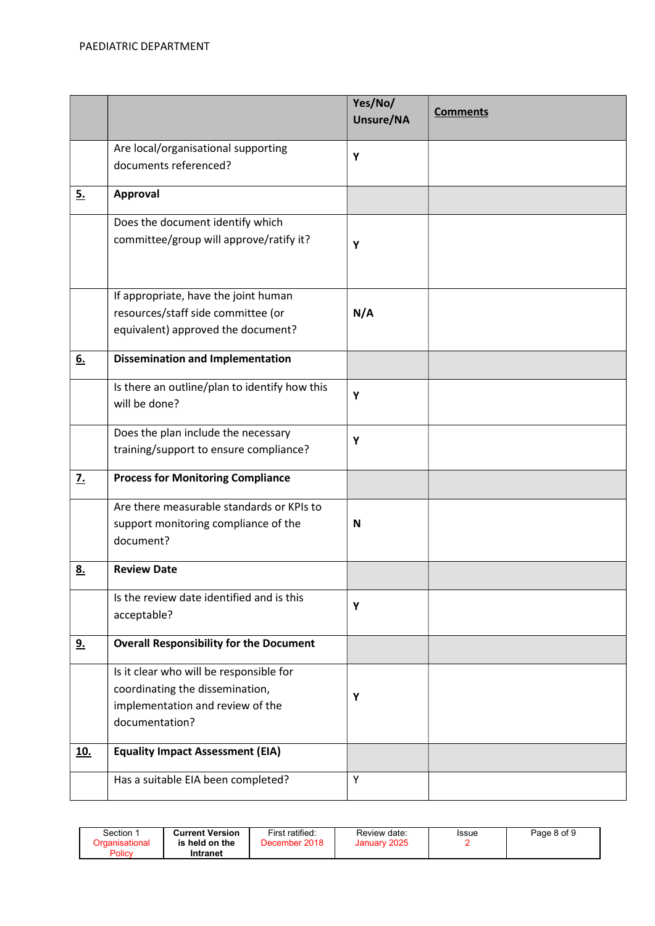|                  |                                                                                                                                  | Yes/No/<br>Unsure/NA | <b>Comments</b> |
|------------------|----------------------------------------------------------------------------------------------------------------------------------|----------------------|-----------------|
|                  | Are local/organisational supporting<br>documents referenced?                                                                     | Y                    |                 |
| 5.               | Approval                                                                                                                         |                      |                 |
|                  | Does the document identify which<br>committee/group will approve/ratify it?                                                      | Y                    |                 |
|                  | If appropriate, have the joint human<br>resources/staff side committee (or<br>equivalent) approved the document?                 | N/A                  |                 |
| 6.               | <b>Dissemination and Implementation</b>                                                                                          |                      |                 |
|                  | Is there an outline/plan to identify how this<br>will be done?                                                                   | Υ                    |                 |
|                  | Does the plan include the necessary<br>training/support to ensure compliance?                                                    | Y                    |                 |
| $\overline{z}$ . | <b>Process for Monitoring Compliance</b>                                                                                         |                      |                 |
|                  | Are there measurable standards or KPIs to<br>support monitoring compliance of the<br>document?                                   | N                    |                 |
| <u>8.</u>        | <b>Review Date</b>                                                                                                               |                      |                 |
|                  | Is the review date identified and is this<br>acceptable?                                                                         | Y                    |                 |
| <u>9.</u>        | <b>Overall Responsibility for the Document</b>                                                                                   |                      |                 |
|                  | Is it clear who will be responsible for<br>coordinating the dissemination,<br>implementation and review of the<br>documentation? | Υ                    |                 |
| <u>10.</u>       | <b>Equality Impact Assessment (EIA)</b>                                                                                          |                      |                 |
|                  | Has a suitable EIA been completed?                                                                                               | Υ                    |                 |

| Section<br>Drɑanisational<br>ıs<br>Policy | <b>Current Version</b><br><b>; held on the</b><br>Intranet | First ratified:<br>December 2018 | Review date:<br>2025<br>January <sup>*</sup> | Issue | Page 8 of 9 |
|-------------------------------------------|------------------------------------------------------------|----------------------------------|----------------------------------------------|-------|-------------|
|-------------------------------------------|------------------------------------------------------------|----------------------------------|----------------------------------------------|-------|-------------|